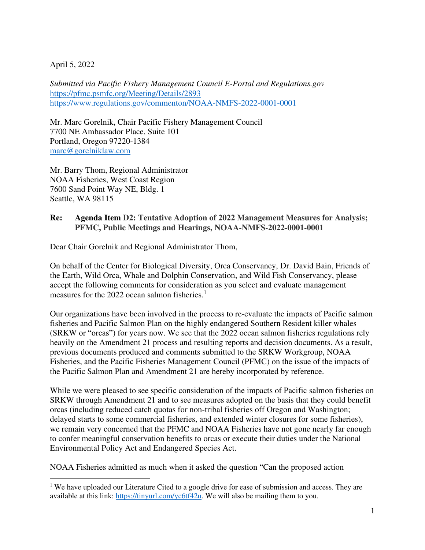## April 5, 2022

*Submitted via Pacific Fishery Management Council E-Portal and Regulations.gov*  <https://pfmc.psmfc.org/Meeting/Details/2893> <https://www.regulations.gov/commenton/NOAA-NMFS-2022-0001-0001>

Mr. Marc Gorelnik, Chair Pacific Fishery Management Council 7700 NE Ambassador Place, Suite 101 Portland, Oregon 97220-1384 [marc@gorelniklaw.com](mailto:marc@gorelniklaw.com)

Mr. Barry Thom, Regional Administrator NOAA Fisheries, West Coast Region 7600 Sand Point Way NE, Bldg. 1 Seattle, WA 98115

### **Re: Agenda Item D2: Tentative Adoption of 2022 Management Measures for Analysis; PFMC, Public Meetings and Hearings, NOAA-NMFS-2022-0001-0001**

Dear Chair Gorelnik and Regional Administrator Thom,

On behalf of the Center for Biological Diversity, Orca Conservancy, Dr. David Bain, Friends of the Earth, Wild Orca, Whale and Dolphin Conservation, and Wild Fish Conservancy, please accept the following comments for consideration as you select and evaluate management measures for the 2022 ocean salmon fisheries.<sup>1</sup>

Our organizations have been involved in the process to re-evaluate the impacts of Pacific salmon fisheries and Pacific Salmon Plan on the highly endangered Southern Resident killer whales (SRKW or "orcas") for years now. We see that the 2022 ocean salmon fisheries regulations rely heavily on the Amendment 21 process and resulting reports and decision documents. As a result, previous documents produced and comments submitted to the SRKW Workgroup, NOAA Fisheries, and the Pacific Fisheries Management Council (PFMC) on the issue of the impacts of the Pacific Salmon Plan and Amendment 21 are hereby incorporated by reference.

While we were pleased to see specific consideration of the impacts of Pacific salmon fisheries on SRKW through Amendment 21 and to see measures adopted on the basis that they could benefit orcas (including reduced catch quotas for non-tribal fisheries off Oregon and Washington; delayed starts to some commercial fisheries, and extended winter closures for some fisheries), we remain very concerned that the PFMC and NOAA Fisheries have not gone nearly far enough to confer meaningful conservation benefits to orcas or execute their duties under the National Environmental Policy Act and Endangered Species Act.

NOAA Fisheries admitted as much when it asked the question "Can the proposed action

<sup>&</sup>lt;sup>1</sup> We have uploaded our Literature Cited to a google drive for ease of submission and access. They are available at this link: [https://tinyurl.com/yc6tf42u.](https://tinyurl.com/yc6tf42u) We will also be mailing them to you.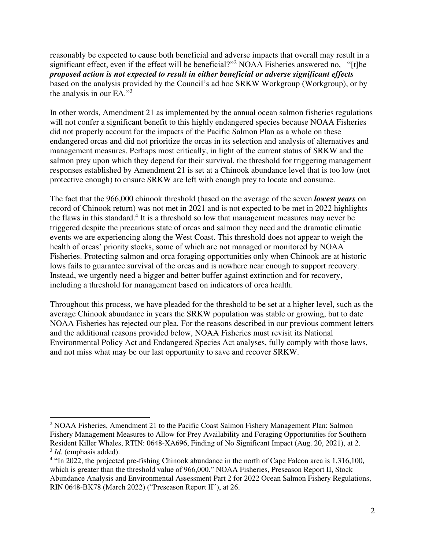reasonably be expected to cause both beneficial and adverse impacts that overall may result in a significant effect, even if the effect will be beneficial?"<sup>2</sup> NOAA Fisheries answered no, "[t]he *proposed action is not expected to result in either beneficial or adverse significant effects* based on the analysis provided by the Council's ad hoc SRKW Workgroup (Workgroup), or by the analysis in our EA."<sup>3</sup>

In other words, Amendment 21 as implemented by the annual ocean salmon fisheries regulations will not confer a significant benefit to this highly endangered species because NOAA Fisheries did not properly account for the impacts of the Pacific Salmon Plan as a whole on these endangered orcas and did not prioritize the orcas in its selection and analysis of alternatives and management measures. Perhaps most critically, in light of the current status of SRKW and the salmon prey upon which they depend for their survival, the threshold for triggering management responses established by Amendment 21 is set at a Chinook abundance level that is too low (not protective enough) to ensure SRKW are left with enough prey to locate and consume.

The fact that the 966,000 chinook threshold (based on the average of the seven *lowest years* on record of Chinook return) was not met in 2021 and is not expected to be met in 2022 highlights the flaws in this standard.<sup>4</sup> It is a threshold so low that management measures may never be triggered despite the precarious state of orcas and salmon they need and the dramatic climatic events we are experiencing along the West Coast. This threshold does not appear to weigh the health of orcas' priority stocks, some of which are not managed or monitored by NOAA Fisheries. Protecting salmon and orca foraging opportunities only when Chinook are at historic lows fails to guarantee survival of the orcas and is nowhere near enough to support recovery. Instead, we urgently need a bigger and better buffer against extinction and for recovery, including a threshold for management based on indicators of orca health.

Throughout this process, we have pleaded for the threshold to be set at a higher level, such as the average Chinook abundance in years the SRKW population was stable or growing, but to date NOAA Fisheries has rejected our plea. For the reasons described in our previous comment letters and the additional reasons provided below, NOAA Fisheries must revisit its National Environmental Policy Act and Endangered Species Act analyses, fully comply with those laws, and not miss what may be our last opportunity to save and recover SRKW.

<sup>&</sup>lt;sup>2</sup> NOAA Fisheries, Amendment 21 to the Pacific Coast Salmon Fishery Management Plan: Salmon Fishery Management Measures to Allow for Prey Availability and Foraging Opportunities for Southern Resident Killer Whales, RTIN: 0648-XA696, Finding of No Significant Impact (Aug. 20, 2021), at 2. <sup>3</sup> *Id.* (emphasis added).

<sup>&</sup>lt;sup>4</sup> "In 2022, the projected pre-fishing Chinook abundance in the north of Cape Falcon area is 1,316,100, which is greater than the threshold value of 966,000." NOAA Fisheries, Preseason Report II, Stock Abundance Analysis and Environmental Assessment Part 2 for 2022 Ocean Salmon Fishery Regulations, RIN 0648-BK78 (March 2022) ("Preseason Report II"), at 26.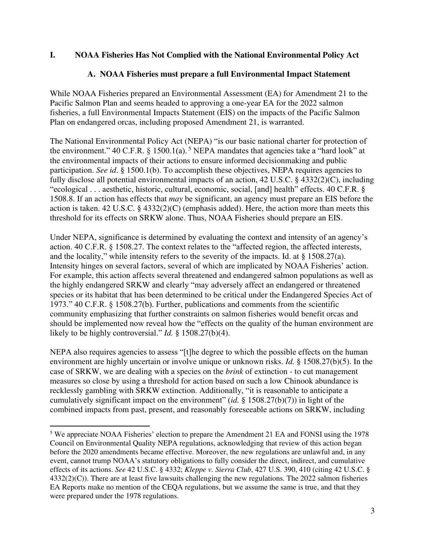## **I. NOAA Fisheries Has Not Complied with the National Environmental Policy Act**

## **A. NOAA Fisheries must prepare a full Environmental Impact Statement**

While NOAA Fisheries prepared an Environmental Assessment (EA) for Amendment 21 to the Pacific Salmon Plan and seems headed to approving a one-year EA for the 2022 salmon fisheries, a full Environmental Impacts Statement (EIS) on the impacts of the Pacific Salmon Plan on endangered orcas, including proposed Amendment 21, is warranted.

The National Environmental Policy Act (NEPA) "is our basic national charter for protection of the environment." 40 C.F.R. § 1500.1(a).<sup>5</sup> NEPA mandates that agencies take a "hard look" at the environmental impacts of their actions to ensure informed decisionmaking and public participation. *See id.* § 1500.1(b). To accomplish these objectives, NEPA requires agencies to fully disclose all potential environmental impacts of an action, 42 U.S.C. § 4332(2)(C), including "ecological . . . aesthetic, historic, cultural, economic, social, [and] health" effects. 40 C.F.R. § 1508.8. If an action has effects that *may* be significant, an agency must prepare an EIS before the action is taken. 42 U.S.C. § 4332(2)(C) (emphasis added). Here, the action more than meets this threshold for its effects on SRKW alone. Thus, NOAA Fisheries should prepare an EIS.

Under NEPA, significance is determined by evaluating the context and intensity of an agency's action. 40 C.F.R. § 1508.27. The context relates to the "affected region, the affected interests, and the locality," while intensity refers to the severity of the impacts. Id. at § 1508.27(a). Intensity hinges on several factors, several of which are implicated by NOAA Fisheries' action. For example, this action affects several threatened and endangered salmon populations as well as the highly endangered SRKW and clearly "may adversely affect an endangered or threatened species or its habitat that has been determined to be critical under the Endangered Species Act of 1973." 40 C.F.R. § 1508.27(b). Further, publications and comments from the scientific community emphasizing that further constraints on salmon fisheries would benefit orcas and should be implemented now reveal how the "effects on the quality of the human environment are likely to be highly controversial." *Id.* § 1508.27(b)(4).

NEPA also requires agencies to assess "[t]he degree to which the possible effects on the human environment are highly uncertain or involve unique or unknown risks. *Id.* § 1508.27(b)(5). In the case of SRKW, we are dealing with a species on the *brink* of extinction - to cut management measures so close by using a threshold for action based on such a low Chinook abundance is recklessly gambling with SRKW extinction. Additionally, "it is reasonable to anticipate a cumulatively significant impact on the environment" (*id.* § 1508.27(b)(7)) in light of the combined impacts from past, present, and reasonably foreseeable actions on SRKW, including

<sup>5</sup> We appreciate NOAA Fisheries' election to prepare the Amendment 21 EA and FONSI using the 1978 Council on Environmental Quality NEPA regulations, acknowledging that review of this action began before the 2020 amendments became effective. Moreover, the new regulations are unlawful and, in any event, cannot trump NOAA's statutory obligations to fully consider the direct, indirect, and cumulative effects of its actions. *See* 42 U.S.C. § 4332; *Kleppe v. Sierra Club*, 427 U.S. 390, 410 (citing 42 U.S.C. § 4332(2)(C)). There are at least five lawsuits challenging the new regulations. The 2022 salmon fisheries EA Reports make no mention of the CEQA regulations, but we assume the same is true, and that they were prepared under the 1978 regulations.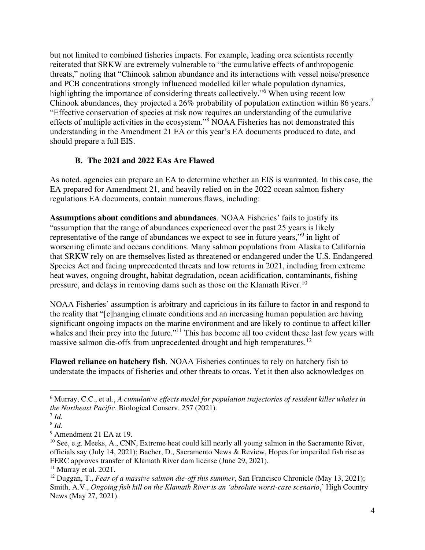but not limited to combined fisheries impacts. For example, leading orca scientists recently reiterated that SRKW are extremely vulnerable to "the cumulative effects of anthropogenic threats," noting that "Chinook salmon abundance and its interactions with vessel noise/presence and PCB concentrations strongly influenced modelled killer whale population dynamics, highlighting the importance of considering threats collectively."<sup>6</sup> When using recent low Chinook abundances, they projected a 26% probability of population extinction within 86 years.<sup>7</sup> "Effective conservation of species at risk now requires an understanding of the cumulative effects of multiple activities in the ecosystem."<sup>8</sup> NOAA Fisheries has not demonstrated this understanding in the Amendment 21 EA or this year's EA documents produced to date, and should prepare a full EIS.

### **B. The 2021 and 2022 EAs Are Flawed**

As noted, agencies can prepare an EA to determine whether an EIS is warranted. In this case, the EA prepared for Amendment 21, and heavily relied on in the 2022 ocean salmon fishery regulations EA documents, contain numerous flaws, including:

**Assumptions about conditions and abundances**. NOAA Fisheries' fails to justify its "assumption that the range of abundances experienced over the past 25 years is likely representative of the range of abundances we expect to see in future years,"<sup>9</sup> in light of worsening climate and oceans conditions. Many salmon populations from Alaska to California that SRKW rely on are themselves listed as threatened or endangered under the U.S. Endangered Species Act and facing unprecedented threats and low returns in 2021, including from extreme heat waves, ongoing drought, habitat degradation, ocean acidification, contaminants, fishing pressure, and delays in removing dams such as those on the Klamath River.<sup>10</sup>

NOAA Fisheries' assumption is arbitrary and capricious in its failure to factor in and respond to the reality that "[c]hanging climate conditions and an increasing human population are having significant ongoing impacts on the marine environment and are likely to continue to affect killer whales and their prey into the future."<sup>11</sup> This has become all too evident these last few years with massive salmon die-offs from unprecedented drought and high temperatures.<sup>12</sup>

**Flawed reliance on hatchery fish**. NOAA Fisheries continues to rely on hatchery fish to understate the impacts of fisheries and other threats to orcas. Yet it then also acknowledges on

<sup>6</sup> Murray, C.C., et al., *A cumulative effects model for population trajectories of resident killer whales in the Northeast Pacific*. Biological Conserv. 257 (2021).

<sup>7</sup> *Id.* 

<sup>8</sup> *Id.*

<sup>&</sup>lt;sup>9</sup> Amendment 21 EA at 19.

<sup>&</sup>lt;sup>10</sup> See, e.g. Meeks, A., CNN, Extreme heat could kill nearly all young salmon in the Sacramento River, officials say (July 14, 2021); Bacher, D., Sacramento News & Review, Hopes for imperiled fish rise as FERC approves transfer of Klamath River dam license (June 29, 2021).

 $11$  Murray et al. 2021.

<sup>12</sup> Duggan, T., *Fear of a massive salmon die-off this summer*, San Francisco Chronicle (May 13, 2021); Smith, A.V., *Ongoing fish kill on the Klamath River is an 'absolute worst-case scenario*,' High Country News (May 27, 2021).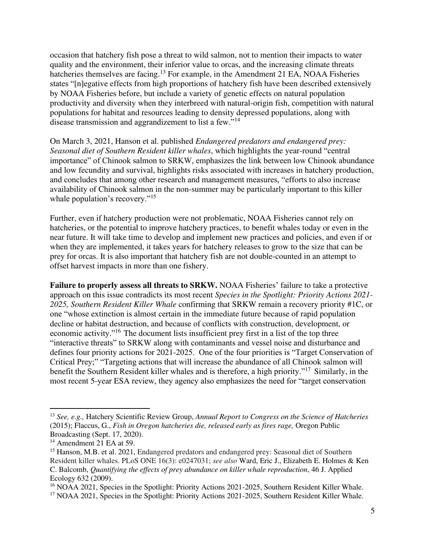occasion that hatchery fish pose a threat to wild salmon, not to mention their impacts to water quality and the environment, their inferior value to orcas, and the increasing climate threats hatcheries themselves are facing.<sup>13</sup> For example, in the Amendment 21 EA, NOAA Fisheries states "[n]egative effects from high proportions of hatchery fish have been described extensively by NOAA Fisheries before, but include a variety of genetic effects on natural population productivity and diversity when they interbreed with natural-origin fish, competition with natural populations for habitat and resources leading to density depressed populations, along with disease transmission and aggrandizement to list a few."<sup>14</sup>

On March 3, 2021, Hanson et al. published *Endangered predators and endangered prey: Seasonal diet of Southern Resident killer whales*, which highlights the year-round "central importance" of Chinook salmon to SRKW, emphasizes the link between low Chinook abundance and low fecundity and survival, highlights risks associated with increases in hatchery production, and concludes that among other research and management measures, "efforts to also increase availability of Chinook salmon in the non-summer may be particularly important to this killer whale population's recovery."<sup>15</sup>

Further, even if hatchery production were not problematic, NOAA Fisheries cannot rely on hatcheries, or the potential to improve hatchery practices, to benefit whales today or even in the near future. It will take time to develop and implement new practices and policies, and even if or when they are implemented, it takes years for hatchery releases to grow to the size that can be prey for orcas. It is also important that hatchery fish are not double-counted in an attempt to offset harvest impacts in more than one fishery.

**Failure to properly assess all threats to SRKW.** NOAA Fisheries' failure to take a protective approach on this issue contradicts its most recent *Species in the Spotlight: Priority Actions 2021- 2025, Southern Resident Killer Whale* confirming that SRKW remain a recovery priority #1C, or one "whose extinction is almost certain in the immediate future because of rapid population decline or habitat destruction, and because of conflicts with construction, development, or economic activity."<sup>16</sup> The document lists insufficient prey first in a list of the top three "interactive threats" to SRKW along with contaminants and vessel noise and disturbance and defines four priority actions for 2021-2025. One of the four priorities is "Target Conservation of Critical Prey;" "Targeting actions that will increase the abundance of all Chinook salmon will benefit the Southern Resident killer whales and is therefore, a high priority."<sup>17</sup> Similarly, in the most recent 5-year ESA review, they agency also emphasizes the need for "target conservation

<sup>13</sup> *See, e.g.,* Hatchery Scientific Review Group, *Annual Report to Congress on the Science of Hatcheries*  (2015); Flaccus, G., *Fish in Oregon hatcheries die, released early as fires rage,* Oregon Public Broadcasting (Sept. 17, 2020).

<sup>&</sup>lt;sup>14</sup> Amendment 21 EA at 59.

<sup>&</sup>lt;sup>15</sup> Hanson, M.B. et al. 2021, Endangered predators and endangered prey: Seasonal diet of Southern Resident killer whales. PLoS ONE 16(3): e0247031; *see also* Ward, Eric J., Elizabeth E. Holmes & Ken C. Balcomb, *Quantifying the effects of prey abundance on killer whale reproduction*, 46 J. Applied Ecology 632 (2009).

<sup>&</sup>lt;sup>16</sup> NOAA 2021, Species in the Spotlight: Priority Actions 2021-2025, Southern Resident Killer Whale. <sup>17</sup> NOAA 2021, Species in the Spotlight: Priority Actions 2021-2025, Southern Resident Killer Whale.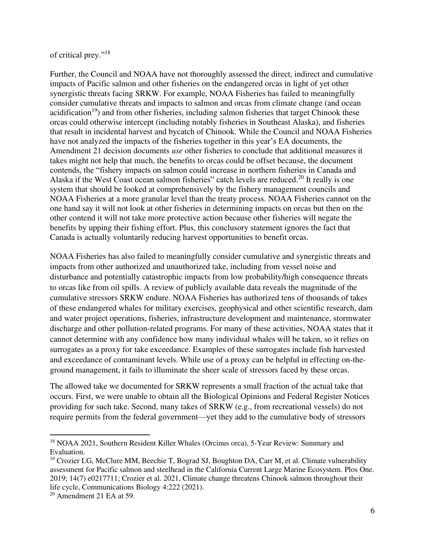#### of critical prey."<sup>18</sup>

Further, the Council and NOAA have not thoroughly assessed the direct, indirect and cumulative impacts of Pacific salmon and other fisheries on the endangered orcas in light of yet other synergistic threats facing SRKW. For example, NOAA Fisheries has failed to meaningfully consider cumulative threats and impacts to salmon and orcas from climate change (and ocean acidification<sup>19</sup>) and from other fisheries, including salmon fisheries that target Chinook these orcas could otherwise intercept (including notably fisheries in Southeast Alaska), and fisheries that result in incidental harvest and bycatch of Chinook. While the Council and NOAA Fisheries have not analyzed the impacts of the fisheries together in this year's EA documents, the Amendment 21 decision documents *use* other fisheries to conclude that additional measures it takes might not help that much, the benefits to orcas could be offset because, the document contends, the "fishery impacts on salmon could increase in northern fisheries in Canada and Alaska if the West Coast ocean salmon fisheries" catch levels are reduced.<sup>20</sup> It really is one system that should be looked at comprehensively by the fishery management councils and NOAA Fisheries at a more granular level than the treaty process. NOAA Fisheries cannot on the one hand say it will not look at other fisheries in determining impacts on orcas but then on the other contend it will not take more protective action because other fisheries will negate the benefits by upping their fishing effort. Plus, this conclusory statement ignores the fact that Canada is actually voluntarily reducing harvest opportunities to benefit orcas.

NOAA Fisheries has also failed to meaningfully consider cumulative and synergistic threats and impacts from other authorized and unauthorized take, including from vessel noise and disturbance and potentially catastrophic impacts from low probability/high consequence threats to orcas like from oil spills. A review of publicly available data reveals the magnitude of the cumulative stressors SRKW endure. NOAA Fisheries has authorized tens of thousands of takes of these endangered whales for military exercises, geophysical and other scientific research, dam and water project operations, fisheries, infrastructure development and maintenance, stormwater discharge and other pollution-related programs. For many of these activities, NOAA states that it cannot determine with any confidence how many individual whales will be taken, so it relies on surrogates as a proxy for take exceedance. Examples of these surrogates include fish harvested and exceedance of contaminant levels. While use of a proxy can be helpful in effecting on-theground management, it fails to illuminate the sheer scale of stressors faced by these orcas.

The allowed take we documented for SRKW represents a small fraction of the actual take that occurs. First, we were unable to obtain all the Biological Opinions and Federal Register Notices providing for such take. Second, many takes of SRKW (e.g., from recreational vessels) do not require permits from the federal government—yet they add to the cumulative body of stressors

<sup>&</sup>lt;sup>18</sup> NOAA 2021, Southern Resident Killer Whales (Orcinus orca), 5-Year Review: Summary and Evaluation.

<sup>&</sup>lt;sup>19</sup> Crozier LG, McClure MM, Beechie T, Bograd SJ, Boughton DA, Carr M, et al. Climate vulnerability assessment for Pacific salmon and steelhead in the California Current Large Marine Ecosystem. Plos One. 2019; 14(7) e0217711; Crozier et al. 2021, Climate change threatens Chinook salmon throughout their life cycle, Communications Biology 4:222 (2021).

 $20$  Amendment 21 EA at 59.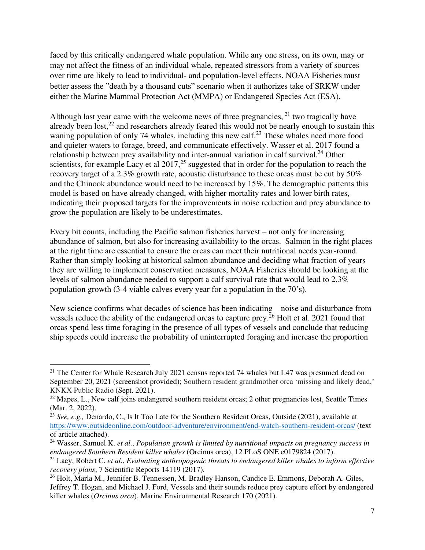faced by this critically endangered whale population. While any one stress, on its own, may or may not affect the fitness of an individual whale, repeated stressors from a variety of sources over time are likely to lead to individual- and population-level effects. NOAA Fisheries must better assess the "death by a thousand cuts" scenario when it authorizes take of SRKW under either the Marine Mammal Protection Act (MMPA) or Endangered Species Act (ESA).

Although last year came with the welcome news of three pregnancies,  $^{21}$  two tragically have already been lost, $^{22}$  and researchers already feared this would not be nearly enough to sustain this waning population of only 74 whales, including this new calf.<sup>23</sup> These whales need more food and quieter waters to forage, breed, and communicate effectively. Wasser et al. 2017 found a relationship between prey availability and inter-annual variation in calf survival.<sup>24</sup> Other scientists, for example Lacy et al  $2017$ ,<sup>25</sup> suggested that in order for the population to reach the recovery target of a 2.3% growth rate, acoustic disturbance to these orcas must be cut by 50% and the Chinook abundance would need to be increased by 15%. The demographic patterns this model is based on have already changed, with higher mortality rates and lower birth rates, indicating their proposed targets for the improvements in noise reduction and prey abundance to grow the population are likely to be underestimates.

Every bit counts, including the Pacific salmon fisheries harvest – not only for increasing abundance of salmon, but also for increasing availability to the orcas. Salmon in the right places at the right time are essential to ensure the orcas can meet their nutritional needs year-round. Rather than simply looking at historical salmon abundance and deciding what fraction of years they are willing to implement conservation measures, NOAA Fisheries should be looking at the levels of salmon abundance needed to support a calf survival rate that would lead to 2.3% population growth (3-4 viable calves every year for a population in the 70's).

New science confirms what decades of science has been indicating—noise and disturbance from vessels reduce the ability of the endangered orcas to capture prey.<sup>26</sup> Holt et al. 2021 found that orcas spend less time foraging in the presence of all types of vessels and conclude that reducing ship speeds could increase the probability of uninterrupted foraging and increase the proportion

<sup>&</sup>lt;sup>21</sup> The Center for Whale Research July 2021 census reported 74 whales but L47 was presumed dead on September 20, 2021 (screenshot provided); Southern resident grandmother orca 'missing and likely dead,' KNKX Public Radio (Sept. 2021).

 $^{22}$  Mapes, L., New calf joins endangered southern resident orcas; 2 other pregnancies lost, Seattle Times (Mar. 2, 2022).

<sup>23</sup> *See, e.g.,* Denardo, C., Is It Too Late for the Southern Resident Orcas, Outside (2021), available at <https://www.outsideonline.com/outdoor-adventure/environment/end-watch-southern-resident-orcas/>(text of article attached).

<sup>24</sup> Wasser, Samuel K. *et al.*, *Population growth is limited by nutritional impacts on pregnancy success in endangered Southern Resident killer whales* (Orcinus orca), 12 PLoS ONE e0179824 (2017).

<sup>25</sup> Lacy, Robert C. *et al.*, *Evaluating anthropogenic threats to endangered killer whales to inform effective recovery plans*, 7 Scientific Reports 14119 (2017).

<sup>26</sup> Holt, Marla M., Jennifer B. Tennessen, M. Bradley Hanson, Candice E. Emmons, Deborah A. Giles, Jeffrey T. Hogan, and Michael J. Ford, Vessels and their sounds reduce prey capture effort by endangered killer whales (*Orcinus orca*), Marine Environmental Research 170 (2021).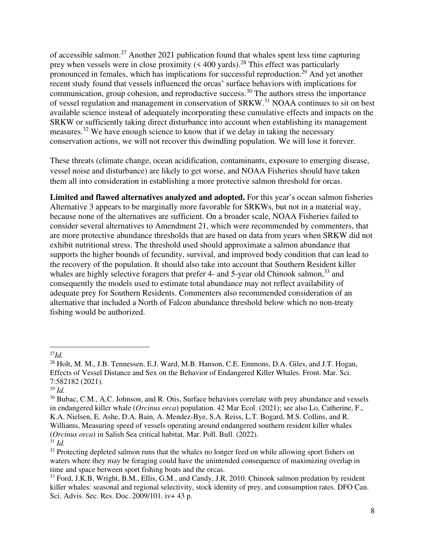of accessible salmon.<sup>27</sup> Another 2021 publication found that whales spent less time capturing prey when vessels were in close proximity  $( $400$  yards).<sup>28</sup> This effect was particularly$ pronounced in females, which has implications for successful reproduction.<sup>29</sup> And yet another recent study found that vessels influenced the orcas' surface behaviors with implications for communication, group cohesion, and reproductive success.<sup>30</sup> The authors stress the importance of vessel regulation and management in conservation of SRKW.<sup>31</sup> NOAA continues to sit on best available science instead of adequately incorporating these cumulative effects and impacts on the SRKW or sufficiently taking direct disturbance into account when establishing its management measures.<sup>32</sup> We have enough science to know that if we delay in taking the necessary conservation actions, we will not recover this dwindling population. We will lose it forever.

These threats (climate change, ocean acidification, contaminants, exposure to emerging disease, vessel noise and disturbance) are likely to get worse, and NOAA Fisheries should have taken them all into consideration in establishing a more protective salmon threshold for orcas.

**Limited and flawed alternatives analyzed and adopted.** For this year's ocean salmon fisheries Alternative 3 appears to be marginally more favorable for SRKWs, but not in a material way, because none of the alternatives are sufficient. On a broader scale, NOAA Fisheries failed to consider several alternatives to Amendment 21, which were recommended by commenters, that are more protective abundance thresholds that are based on data from years when SRKW did not exhibit nutritional stress. The threshold used should approximate a salmon abundance that supports the higher bounds of fecundity, survival, and improved body condition that can lead to the recovery of the population. It should also take into account that Southern Resident killer whales are highly selective foragers that prefer 4- and 5-year old Chinook salmon,<sup>33</sup> and consequently the models used to estimate total abundance may not reflect availability of adequate prey for Southern Residents. Commenters also recommended consideration of an alternative that included a North of Falcon abundance threshold below which no non-treaty fishing would be authorized.

 $^{27}Id$ .

<sup>&</sup>lt;sup>28</sup> Holt, M. M., J.B. Tennessen, E.J. Ward, M.B. Hanson, C.E. Emmons, D.A. Giles, and J.T. Hogan, Effects of Vessel Distance and Sex on the Behavior of Endangered Killer Whales. Front. Mar. Sci. 7:582182 (2021).

<sup>29</sup> *Id.*

<sup>&</sup>lt;sup>30</sup> Bubac, C.M., A.C. Johnson, and R. Otis, Surface behaviors correlate with prey abundance and vessels in endangered killer whale (*Orcinus orca*) population. 42 Mar Ecol. (2021); see also Lo, Catherine, F., K.A. Nielsen, E. Ashe, D.A. Bain, A. Mendez-Bye, S.A. Reiss, L.T. Bogard, M.S. Collins, and R. Williams, Measuring speed of vessels operating around endangered southern resident killer whales (*Orcinus orca*) in Salish Sea critical habitat, Mar. Poll. Bull. (2022).  $31$  *Id.* 

<sup>&</sup>lt;sup>32</sup> Protecting depleted salmon runs that the whales no longer feed on while allowing sport fishers on waters where they may be foraging could have the unintended consequence of maximizing overlap in time and space between sport fishing boats and the orcas.

<sup>&</sup>lt;sup>33</sup> Ford, J.K.B, Wright, B.M., Ellis, G.M., and Candy, J.R. 2010. Chinook salmon predation by resident killer whales: seasonal and regional selectivity, stock identity of prey, and consumption rates. DFO Can. Sci. Advis. Sec. Res. Doc. 2009/101. iv+ 43 p.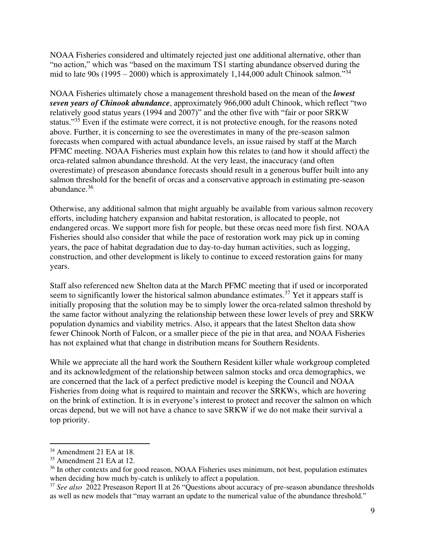NOAA Fisheries considered and ultimately rejected just one additional alternative, other than "no action," which was "based on the maximum TS1 starting abundance observed during the mid to late 90s (1995 – 2000) which is approximately 1,144,000 adult Chinook salmon.<sup>34</sup>

NOAA Fisheries ultimately chose a management threshold based on the mean of the *lowest seven years of Chinook abundance*, approximately 966,000 adult Chinook, which reflect "two relatively good status years (1994 and 2007)" and the other five with "fair or poor SRKW status."<sup>35</sup> Even if the estimate were correct, it is not protective enough, for the reasons noted above. Further, it is concerning to see the overestimates in many of the pre-season salmon forecasts when compared with actual abundance levels, an issue raised by staff at the March PFMC meeting. NOAA Fisheries must explain how this relates to (and how it should affect) the orca-related salmon abundance threshold. At the very least, the inaccuracy (and often overestimate) of preseason abundance forecasts should result in a generous buffer built into any salmon threshold for the benefit of orcas and a conservative approach in estimating pre-season abundance.<sup>36</sup>

Otherwise, any additional salmon that might arguably be available from various salmon recovery efforts, including hatchery expansion and habitat restoration, is allocated to people, not endangered orcas. We support more fish for people, but these orcas need more fish first. NOAA Fisheries should also consider that while the pace of restoration work may pick up in coming years, the pace of habitat degradation due to day-to-day human activities, such as logging, construction, and other development is likely to continue to exceed restoration gains for many years.

Staff also referenced new Shelton data at the March PFMC meeting that if used or incorporated seem to significantly lower the historical salmon abundance estimates.<sup>37</sup> Yet it appears staff is initially proposing that the solution may be to simply lower the orca-related salmon threshold by the same factor without analyzing the relationship between these lower levels of prey and SRKW population dynamics and viability metrics. Also, it appears that the latest Shelton data show fewer Chinook North of Falcon, or a smaller piece of the pie in that area, and NOAA Fisheries has not explained what that change in distribution means for Southern Residents.

While we appreciate all the hard work the Southern Resident killer whale workgroup completed and its acknowledgment of the relationship between salmon stocks and orca demographics, we are concerned that the lack of a perfect predictive model is keeping the Council and NOAA Fisheries from doing what is required to maintain and recover the SRKWs, which are hovering on the brink of extinction. It is in everyone's interest to protect and recover the salmon on which orcas depend, but we will not have a chance to save SRKW if we do not make their survival a top priority.

<sup>34</sup> Amendment 21 EA at 18.

 $35$  Amendment 21 EA at 12.

<sup>&</sup>lt;sup>36</sup> In other contexts and for good reason, NOAA Fisheries uses minimum, not best, population estimates when deciding how much by-catch is unlikely to affect a population.

<sup>37</sup> *See also* 2022 Preseason Report II at 26 "Questions about accuracy of pre-season abundance thresholds as well as new models that "may warrant an update to the numerical value of the abundance threshold."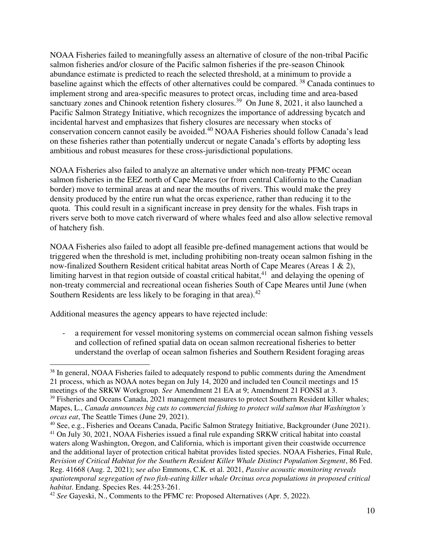NOAA Fisheries failed to meaningfully assess an alternative of closure of the non-tribal Pacific salmon fisheries and/or closure of the Pacific salmon fisheries if the pre-season Chinook abundance estimate is predicted to reach the selected threshold, at a minimum to provide a baseline against which the effects of other alternatives could be compared. <sup>38</sup> Canada continues to implement strong and area-specific measures to protect orcas, including time and area-based sanctuary zones and Chinook retention fishery closures.<sup>39</sup> On June 8, 2021, it also launched a Pacific Salmon Strategy Initiative, which recognizes the importance of addressing bycatch and incidental harvest and emphasizes that fishery closures are necessary when stocks of conservation concern cannot easily be avoided.<sup>40</sup> NOAA Fisheries should follow Canada's lead on these fisheries rather than potentially undercut or negate Canada's efforts by adopting less ambitious and robust measures for these cross-jurisdictional populations.

NOAA Fisheries also failed to analyze an alternative under which non-treaty PFMC ocean salmon fisheries in the EEZ north of Cape Meares (or from central California to the Canadian border) move to terminal areas at and near the mouths of rivers. This would make the prey density produced by the entire run what the orcas experience, rather than reducing it to the quota. This could result in a significant increase in prey density for the whales. Fish traps in rivers serve both to move catch riverward of where whales feed and also allow selective removal of hatchery fish.

NOAA Fisheries also failed to adopt all feasible pre-defined management actions that would be triggered when the threshold is met, including prohibiting non-treaty ocean salmon fishing in the now-finalized Southern Resident critical habitat areas North of Cape Meares (Areas 1 & 2), limiting harvest in that region outside of coastal critical habitat, $41$  and delaying the opening of non-treaty commercial and recreational ocean fisheries South of Cape Meares until June (when Southern Residents are less likely to be foraging in that area). $42$ 

Additional measures the agency appears to have rejected include:

a requirement for vessel monitoring systems on commercial ocean salmon fishing vessels and collection of refined spatial data on ocean salmon recreational fisheries to better understand the overlap of ocean salmon fisheries and Southern Resident foraging areas

<sup>&</sup>lt;sup>38</sup> In general, NOAA Fisheries failed to adequately respond to public comments during the Amendment 21 process, which as NOAA notes began on July 14, 2020 and included ten Council meetings and 15 meetings of the SRKW Workgroup. *See* Amendment 21 EA at 9; Amendment 21 FONSI at 3.

<sup>&</sup>lt;sup>39</sup> Fisheries and Oceans Canada, 2021 management measures to protect Southern Resident killer whales; Mapes, L., *Canada announces big cuts to commercial fishing to protect wild salmon that Washington's orcas eat*, The Seattle Times (June 29, 2021).

<sup>40</sup> See, e.g., Fisheries and Oceans Canada, Pacific Salmon Strategy Initiative, Backgrounder (June 2021). <sup>41</sup> On July 30, 2021, NOAA Fisheries issued a final rule expanding SRKW critical habitat into coastal waters along Washington, Oregon, and California, which is important given their coastwide occurrence and the additional layer of protection critical habitat provides listed species. NOAA Fisheries, Final Rule, *Revision of Critical Habitat for the Southern Resident Killer Whale Distinct Population Segment*, 86 Fed. Reg. 41668 (Aug. 2, 2021); s*ee also* Emmons, C.K. et al. 2021, *Passive acoustic monitoring reveals spatiotemporal segregation of two fish-eating killer whale Orcinus orca populations in proposed critical habitat*. Endang. Species Res. 44:253-261.

<sup>42</sup> *See* Gayeski, N., Comments to the PFMC re: Proposed Alternatives (Apr. 5, 2022).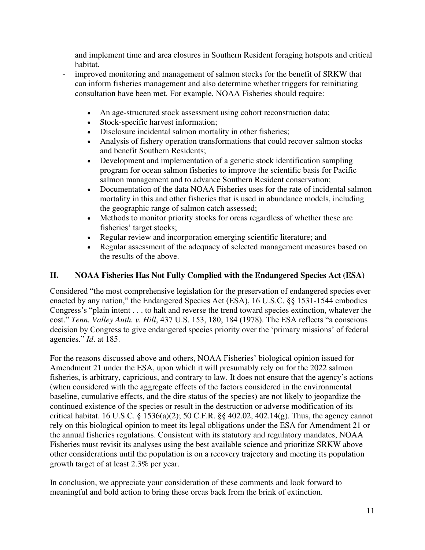and implement time and area closures in Southern Resident foraging hotspots and critical habitat.

- improved monitoring and management of salmon stocks for the benefit of SRKW that can inform fisheries management and also determine whether triggers for reinitiating consultation have been met. For example, NOAA Fisheries should require:
	- An age-structured stock assessment using cohort reconstruction data;
	- Stock-specific harvest information;
	- Disclosure incidental salmon mortality in other fisheries;
	- Analysis of fishery operation transformations that could recover salmon stocks and benefit Southern Residents;
	- Development and implementation of a genetic stock identification sampling program for ocean salmon fisheries to improve the scientific basis for Pacific salmon management and to advance Southern Resident conservation;
	- Documentation of the data NOAA Fisheries uses for the rate of incidental salmon mortality in this and other fisheries that is used in abundance models, including the geographic range of salmon catch assessed;
	- Methods to monitor priority stocks for orcas regardless of whether these are fisheries' target stocks;
	- Regular review and incorporation emerging scientific literature; and
	- Regular assessment of the adequacy of selected management measures based on the results of the above.

# **II. NOAA Fisheries Has Not Fully Complied with the Endangered Species Act (ESA)**

Considered "the most comprehensive legislation for the preservation of endangered species ever enacted by any nation," the Endangered Species Act (ESA), 16 U.S.C. §§ 1531-1544 embodies Congress's "plain intent . . . to halt and reverse the trend toward species extinction, whatever the cost." *Tenn. Valley Auth. v. Hill*, 437 U.S. 153, 180, 184 (1978). The ESA reflects "a conscious decision by Congress to give endangered species priority over the 'primary missions' of federal agencies." *Id*. at 185.

For the reasons discussed above and others, NOAA Fisheries' biological opinion issued for Amendment 21 under the ESA, upon which it will presumably rely on for the 2022 salmon fisheries, is arbitrary, capricious, and contrary to law. It does not ensure that the agency's actions (when considered with the aggregate effects of the factors considered in the environmental baseline, cumulative effects, and the dire status of the species) are not likely to jeopardize the continued existence of the species or result in the destruction or adverse modification of its critical habitat. 16 U.S.C. § 1536(a)(2); 50 C.F.R. §§ 402.02, 402.14(g). Thus, the agency cannot rely on this biological opinion to meet its legal obligations under the ESA for Amendment 21 or the annual fisheries regulations. Consistent with its statutory and regulatory mandates, NOAA Fisheries must revisit its analyses using the best available science and prioritize SRKW above other considerations until the population is on a recovery trajectory and meeting its population growth target of at least 2.3% per year.

In conclusion, we appreciate your consideration of these comments and look forward to meaningful and bold action to bring these orcas back from the brink of extinction.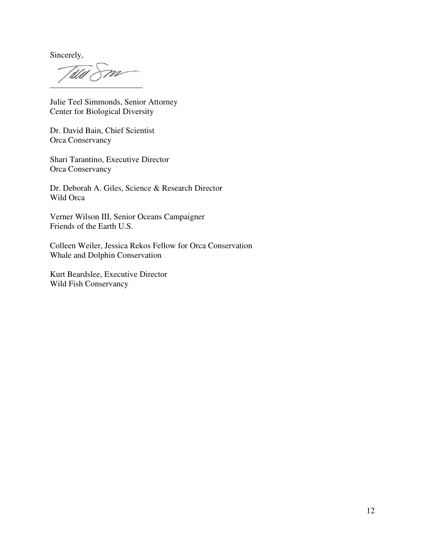Sincerely,

m

Julie Teel Simmonds, Senior Attorney Center for Biological Diversity

Dr. David Bain, Chief Scientist Orca Conservancy

Shari Tarantino, Executive Director Orca Conservancy

Dr. Deborah A. Giles, Science & Research Director Wild Orca

Verner Wilson III, Senior Oceans Campaigner Friends of the Earth U.S.

Colleen Weiler, Jessica Rekos Fellow for Orca Conservation Whale and Dolphin Conservation

Kurt Beardslee, Executive Director Wild Fish Conservancy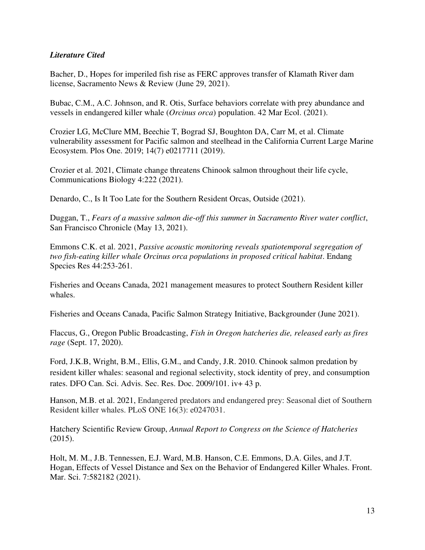## *Literature Cited*

Bacher, D., Hopes for imperiled fish rise as FERC approves transfer of Klamath River dam license, Sacramento News & Review (June 29, 2021).

Bubac, C.M., A.C. Johnson, and R. Otis, Surface behaviors correlate with prey abundance and vessels in endangered killer whale (*Orcinus orca*) population. 42 Mar Ecol. (2021).

Crozier LG, McClure MM, Beechie T, Bograd SJ, Boughton DA, Carr M, et al. Climate vulnerability assessment for Pacific salmon and steelhead in the California Current Large Marine Ecosystem. Plos One. 2019; 14(7) e0217711 (2019).

Crozier et al. 2021, Climate change threatens Chinook salmon throughout their life cycle, Communications Biology 4:222 (2021).

Denardo, C., Is It Too Late for the Southern Resident Orcas, Outside (2021).

Duggan, T., *Fears of a massive salmon die-off this summer in Sacramento River water conflict*, San Francisco Chronicle (May 13, 2021).

Emmons C.K. et al. 2021, *Passive acoustic monitoring reveals spatiotemporal segregation of two fish-eating killer whale Orcinus orca populations in proposed critical habitat*. Endang Species Res 44:253-261.

Fisheries and Oceans Canada, 2021 management measures to protect Southern Resident killer whales.

Fisheries and Oceans Canada, Pacific Salmon Strategy Initiative, Backgrounder (June 2021).

Flaccus, G., Oregon Public Broadcasting, *Fish in Oregon hatcheries die, released early as fires rage* (Sept. 17, 2020).

Ford, J.K.B, Wright, B.M., Ellis, G.M., and Candy, J.R. 2010. Chinook salmon predation by resident killer whales: seasonal and regional selectivity, stock identity of prey, and consumption rates. DFO Can. Sci. Advis. Sec. Res. Doc. 2009/101. iv+ 43 p.

Hanson, M.B. et al. 2021, Endangered predators and endangered prey: Seasonal diet of Southern Resident killer whales. PLoS ONE 16(3): e0247031.

Hatchery Scientific Review Group, *Annual Report to Congress on the Science of Hatcheries*  (2015).

Holt, M. M., J.B. Tennessen, E.J. Ward, M.B. Hanson, C.E. Emmons, D.A. Giles, and J.T. Hogan, Effects of Vessel Distance and Sex on the Behavior of Endangered Killer Whales. Front. Mar. Sci. 7:582182 (2021).